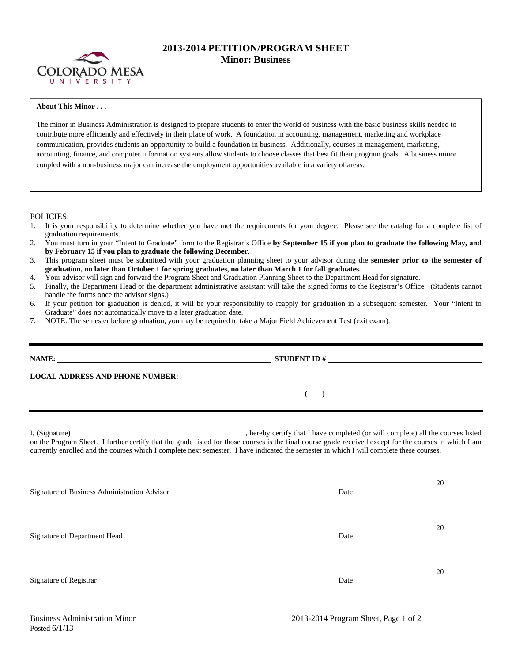

## **2013-2014 PETITION/PROGRAM SHEET Minor: Business**

## **About This Minor . . .**

The minor in Business Administration is designed to prepare students to enter the world of business with the basic business skills needed to contribute more efficiently and effectively in their place of work. A foundation in accounting, management, marketing and workplace communication, provides students an opportunity to build a foundation in business. Additionally, courses in management, marketing, accounting, finance, and computer information systems allow students to choose classes that best fit their program goals. A business minor coupled with a non-business major can increase the employment opportunities available in a variety of areas.

## POLICIES:

- 1. It is your responsibility to determine whether you have met the requirements for your degree. Please see the catalog for a complete list of graduation requirements.
- 2. You must turn in your "Intent to Graduate" form to the Registrar's Office **by September 15 if you plan to graduate the following May, and by February 15 if you plan to graduate the following December**.
- 3. This program sheet must be submitted with your graduation planning sheet to your advisor during the **semester prior to the semester of graduation, no later than October 1 for spring graduates, no later than March 1 for fall graduates.**
- 4. Your advisor will sign and forward the Program Sheet and Graduation Planning Sheet to the Department Head for signature.
- 5. Finally, the Department Head or the department administrative assistant will take the signed forms to the Registrar's Office. (Students cannot handle the forms once the advisor signs.)
- 6. If your petition for graduation is denied, it will be your responsibility to reapply for graduation in a subsequent semester. Your "Intent to Graduate" does not automatically move to a later graduation date.
- 7. NOTE: The semester before graduation, you may be required to take a Major Field Achievement Test (exit exam).

|                                                                                                                                                                                                                                                                                                     | STUDENT ID $\#$                       |    |  |  |  |  |  |
|-----------------------------------------------------------------------------------------------------------------------------------------------------------------------------------------------------------------------------------------------------------------------------------------------------|---------------------------------------|----|--|--|--|--|--|
| LOCAL ADDRESS AND PHONE NUMBER: Under the contract of the contract of the contract of the contract of the contract of the contract of the contract of the contract of the contract of the contract of the contract of the cont                                                                      |                                       |    |  |  |  |  |  |
|                                                                                                                                                                                                                                                                                                     | $\begin{pmatrix} 1 & 1 \end{pmatrix}$ |    |  |  |  |  |  |
| on the Program Sheet. I further certify that the grade listed for those courses is the final course grade received except for the courses in which I am<br>currently enrolled and the courses which I complete next semester. I have indicated the semester in which I will complete these courses. |                                       |    |  |  |  |  |  |
| Signature of Business Administration Advisor                                                                                                                                                                                                                                                        | Date                                  | 20 |  |  |  |  |  |
| Signature of Department Head                                                                                                                                                                                                                                                                        | Date                                  | 20 |  |  |  |  |  |
| Signature of Registrar                                                                                                                                                                                                                                                                              | Date                                  | 20 |  |  |  |  |  |